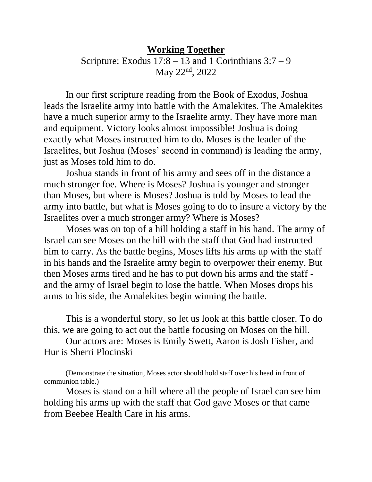## **Working Together** Scripture: Exodus  $17:8 - 13$  and 1 Corinthians  $3:7 - 9$ May 22nd, 2022

In our first scripture reading from the Book of Exodus, Joshua leads the Israelite army into battle with the Amalekites. The Amalekites have a much superior army to the Israelite army. They have more man and equipment. Victory looks almost impossible! Joshua is doing exactly what Moses instructed him to do. Moses is the leader of the Israelites, but Joshua (Moses' second in command) is leading the army, just as Moses told him to do.

Joshua stands in front of his army and sees off in the distance a much stronger foe. Where is Moses? Joshua is younger and stronger than Moses, but where is Moses? Joshua is told by Moses to lead the army into battle, but what is Moses going to do to insure a victory by the Israelites over a much stronger army? Where is Moses?

Moses was on top of a hill holding a staff in his hand. The army of Israel can see Moses on the hill with the staff that God had instructed him to carry. As the battle begins, Moses lifts his arms up with the staff in his hands and the Israelite army begin to overpower their enemy. But then Moses arms tired and he has to put down his arms and the staff and the army of Israel begin to lose the battle. When Moses drops his arms to his side, the Amalekites begin winning the battle.

This is a wonderful story, so let us look at this battle closer. To do this, we are going to act out the battle focusing on Moses on the hill.

Our actors are: Moses is Emily Swett, Aaron is Josh Fisher, and Hur is Sherri Plocinski

(Demonstrate the situation, Moses actor should hold staff over his head in front of communion table.)

Moses is stand on a hill where all the people of Israel can see him holding his arms up with the staff that God gave Moses or that came from Beebee Health Care in his arms.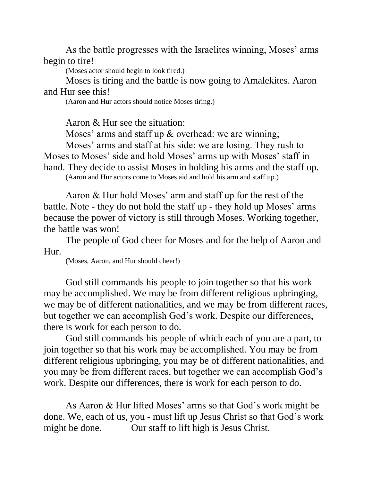As the battle progresses with the Israelites winning, Moses' arms begin to tire!

(Moses actor should begin to look tired.)

Moses is tiring and the battle is now going to Amalekites. Aaron and Hur see this!

(Aaron and Hur actors should notice Moses tiring.)

Aaron & Hur see the situation:

Moses' arms and staff up & overhead: we are winning;

Moses' arms and staff at his side: we are losing. They rush to Moses to Moses' side and hold Moses' arms up with Moses' staff in hand. They decide to assist Moses in holding his arms and the staff up. (Aaron and Hur actors come to Moses aid and hold his arm and staff up.)

Aaron & Hur hold Moses' arm and staff up for the rest of the battle. Note - they do not hold the staff up - they hold up Moses' arms because the power of victory is still through Moses. Working together, the battle was won!

The people of God cheer for Moses and for the help of Aaron and Hur.

(Moses, Aaron, and Hur should cheer!)

God still commands his people to join together so that his work may be accomplished. We may be from different religious upbringing, we may be of different nationalities, and we may be from different races, but together we can accomplish God's work. Despite our differences, there is work for each person to do.

God still commands his people of which each of you are a part, to join together so that his work may be accomplished. You may be from different religious upbringing, you may be of different nationalities, and you may be from different races, but together we can accomplish God's work. Despite our differences, there is work for each person to do.

As Aaron & Hur lifted Moses' arms so that God's work might be done. We, each of us, you - must lift up Jesus Christ so that God's work might be done. Our staff to lift high is Jesus Christ.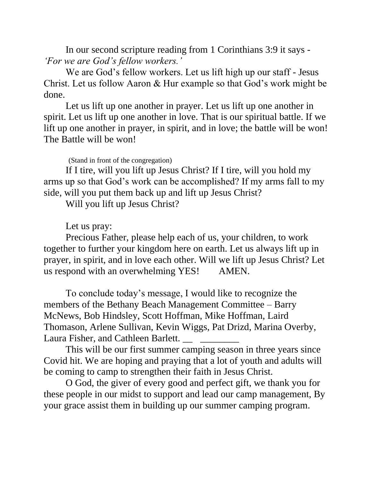In our second scripture reading from 1 Corinthians 3:9 it says - *'For we are God's fellow workers.'*

We are God's fellow workers. Let us lift high up our staff - Jesus Christ. Let us follow Aaron & Hur example so that God's work might be done.

Let us lift up one another in prayer. Let us lift up one another in spirit. Let us lift up one another in love. That is our spiritual battle. If we lift up one another in prayer, in spirit, and in love; the battle will be won! The Battle will be won!

(Stand in front of the congregation)

If I tire, will you lift up Jesus Christ? If I tire, will you hold my arms up so that God's work can be accomplished? If my arms fall to my side, will you put them back up and lift up Jesus Christ?

Will you lift up Jesus Christ?

Let us pray:

Precious Father, please help each of us, your children, to work together to further your kingdom here on earth. Let us always lift up in prayer, in spirit, and in love each other. Will we lift up Jesus Christ? Let us respond with an overwhelming YES! AMEN.

To conclude today's message, I would like to recognize the members of the Bethany Beach Management Committee – Barry McNews, Bob Hindsley, Scott Hoffman, Mike Hoffman, Laird Thomason, Arlene Sullivan, Kevin Wiggs, Pat Drizd, Marina Overby, Laura Fisher, and Cathleen Barlett.

This will be our first summer camping season in three years since Covid hit. We are hoping and praying that a lot of youth and adults will be coming to camp to strengthen their faith in Jesus Christ.

O God, the giver of every good and perfect gift, we thank you for these people in our midst to support and lead our camp management, By your grace assist them in building up our summer camping program.